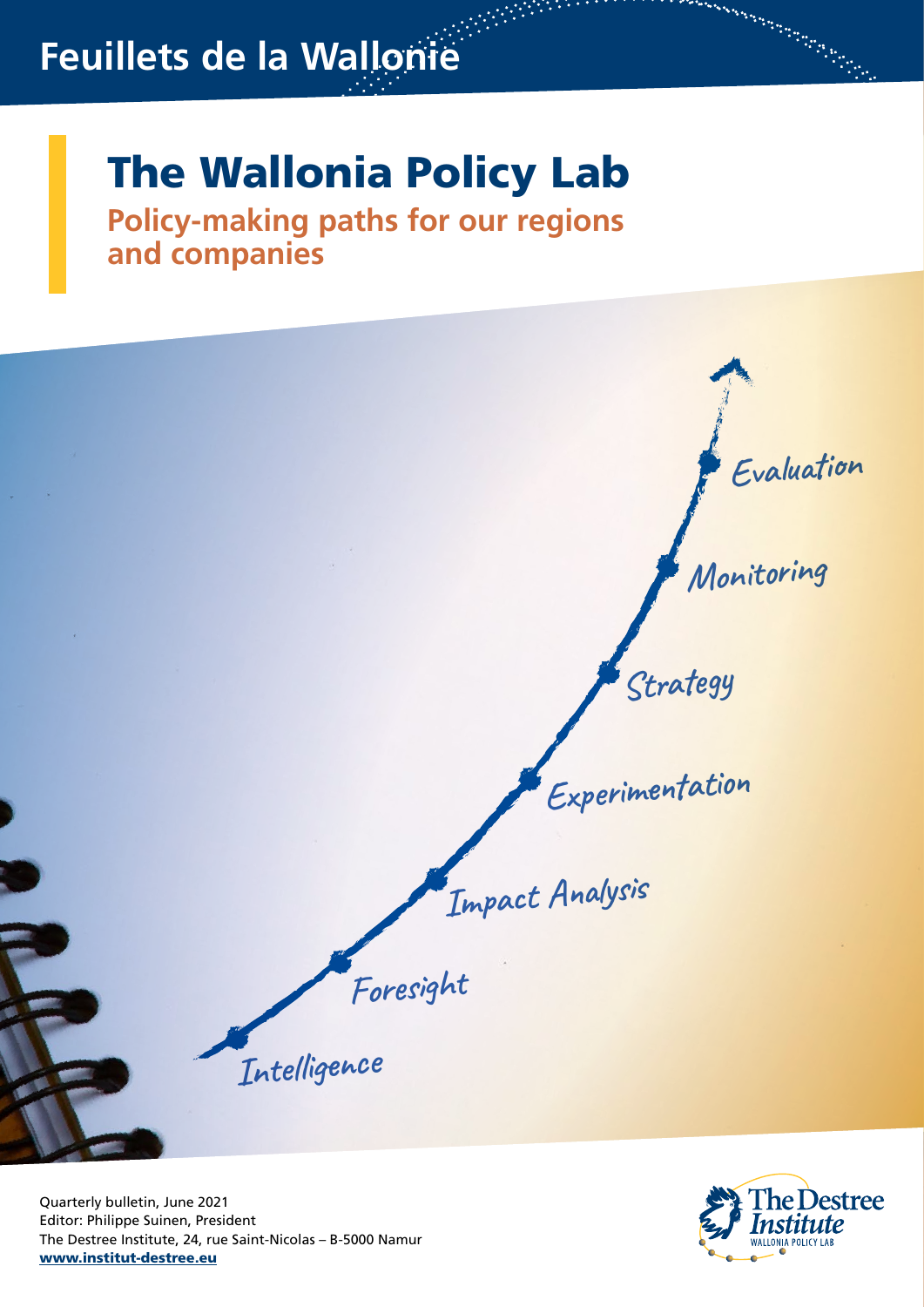# **Feuillets de la Wallonie**

# The Wallonia Policy Lab

**Policy-making paths for our regions and companies**



Quarterly bulletin, June 2021 Editor: Philippe Suinen, President The Destree Institute, 24, rue Saint-Nicolas – B-5000 Namur www.institut-destree.eu



a Baranchi a Baranchi a Baranchi a Baranchi a Baranchi a Baranchi a Baranchi a Baranchi a Baranchi a Baranchi<br>Baranchi a Baranchi a Baranchi a Baranchi a Baranchi a Baranchi a Baranchi a Baranchi a Baranchi a Baranchi a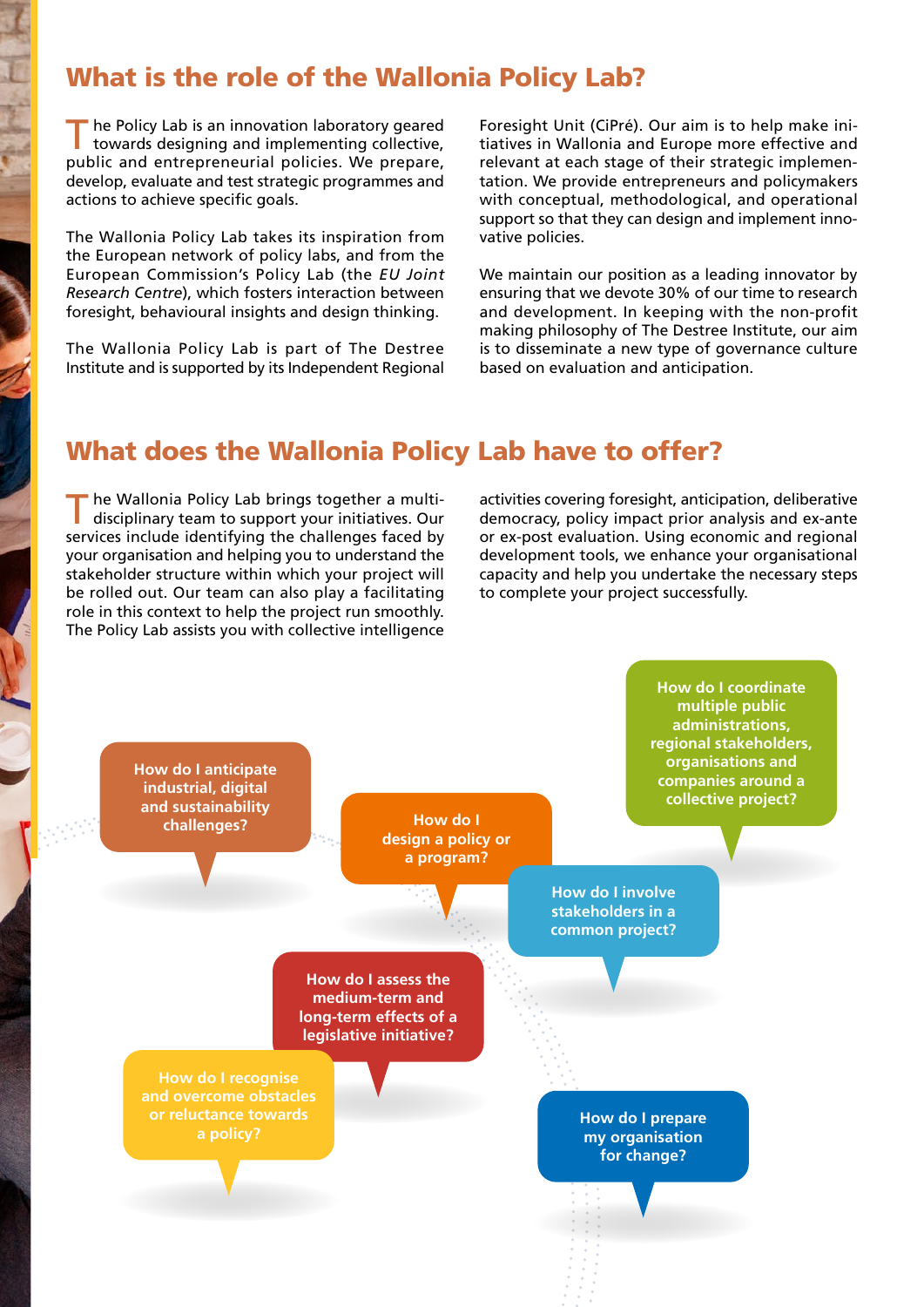# What is the role of the Wallonia Policy Lab?

The Policy Lab is an innovation laboratory geared<br>towards designing and implementing collective, public and entrepreneurial policies. We prepare, develop, evaluate and test strategic programmes and actions to achieve specific goals.

The Wallonia Policy Lab takes its inspiration from the European network of policy labs, and from the European Commission's Policy Lab (the *EU Joint Research Centre*), which fosters interaction between foresight, behavioural insights and design thinking.

The Wallonia Policy Lab is part of The Destree Institute and is supported by its Independent Regional

Foresight Unit (CiPré). Our aim is to help make initiatives in Wallonia and Europe more effective and relevant at each stage of their strategic implementation. We provide entrepreneurs and policymakers with conceptual, methodological, and operational support so that they can design and implement innovative policies.

We maintain our position as a leading innovator by ensuring that we devote 30% of our time to research and development. In keeping with the non-profit making philosophy of The Destree Institute, our aim is to disseminate a new type of governance culture based on evaluation and anticipation.

### What does the Wallonia Policy Lab have to offer?

he Wallonia Policy Lab brings together a multidisciplinary team to support your initiatives. Our services include identifying the challenges faced by your organisation and helping you to understand the stakeholder structure within which your project will be rolled out. Our team can also play a facilitating role in this context to help the project run smoothly. The Policy Lab assists you with collective intelligence

activities covering foresight, anticipation, deliberative democracy, policy impact prior analysis and ex-ante or ex-post evaluation. Using economic and regional development tools, we enhance your organisational capacity and help you undertake the necessary steps to complete your project successfully.

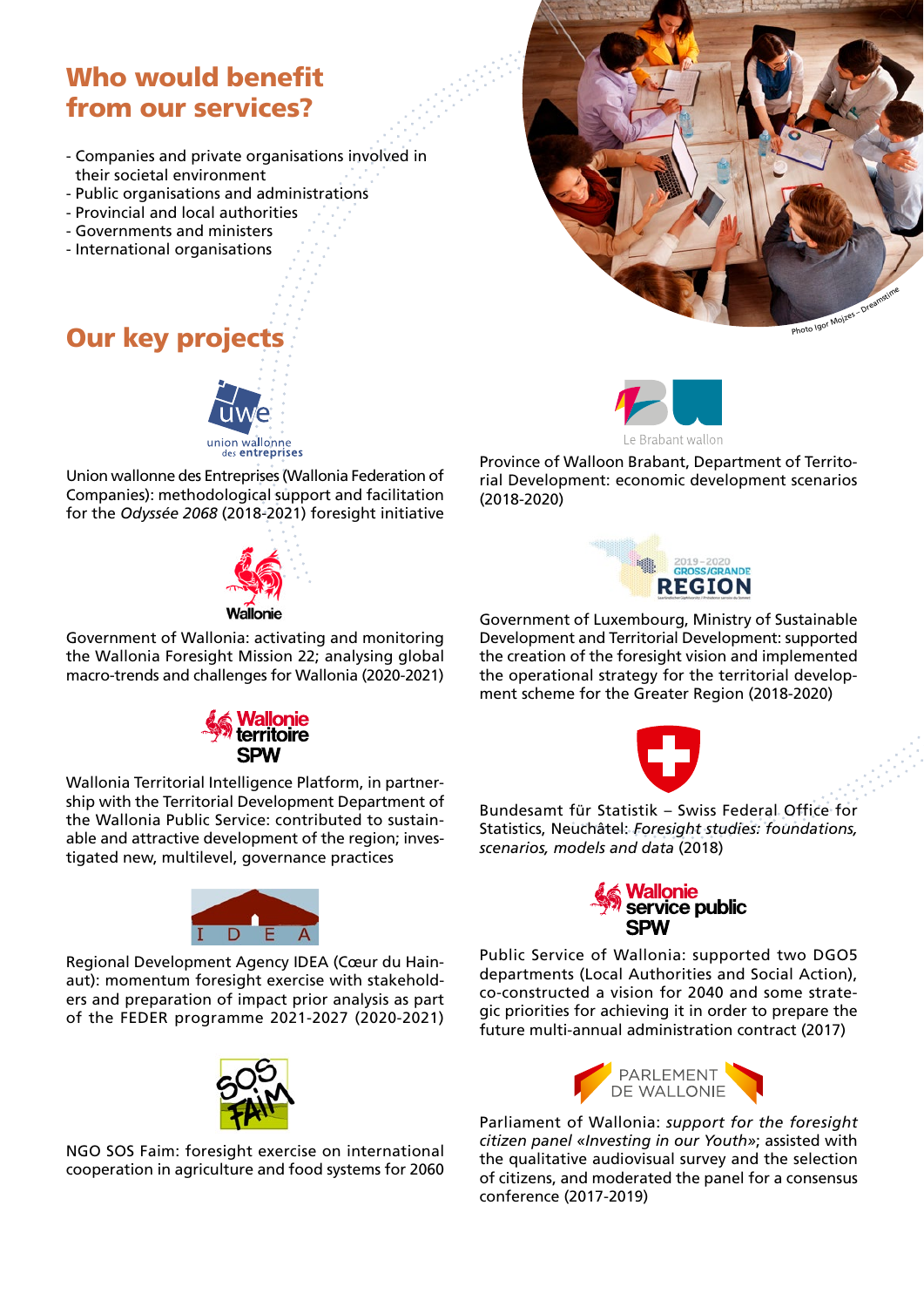# Who would benefit from our services?

- Companies and private organisations involved in their societal environment
- Public organisations and administrations
- Provincial and local authorities
- Governments and ministers
- International organisations



Union wallonne des Entreprises (Wallonia Federation of Companies): methodological support and facilitation for the *Odyssée 2068* (2018-2021) foresight initiative



Government of Wallonia: activating and monitoring the Wallonia Foresight Mission 22; analysing global macro-trends and challenges for Wallonia (2020-2021)

> *Vallonie* ritoire

Wallonia Territorial Intelligence Platform, in partnership with the Territorial Development Department of the Wallonia Public Service: contributed to sustainable and attractive development of the region; investigated new, multilevel, governance practices



Regional Development Agency IDEA (Cœur du Hainaut): momentum foresight exercise with stakeholders and preparation of impact prior analysis as part of the FEDER programme 2021-2027 (2020-2021)



NGO SOS Faim: foresight exercise on international cooperation in agriculture and food systems for 2060





Province of Walloon Brabant, Department of Territorial Development: economic development scenarios (2018-2020)



Government of Luxembourg, Ministry of Sustainable Development and Territorial Development: supported the creation of the foresight vision and implemented the operational strategy for the territorial development scheme for the Greater Region (2018-2020)



Bundesamt für Statistik – Swiss Federal Office for Statistics, Neuchâtel: *Foresight studies: foundations, scenarios, models and data* (2018)



Public Service of Wallonia: supported two DGO5 departments (Local Authorities and Social Action), co-constructed a vision for 2040 and some strategic priorities for achieving it in order to prepare the future multi-annual administration contract (2017)



Parliament of Wallonia: *support for the foresight citizen panel «Investing in our Youth»*; assisted with the qualitative audiovisual survey and the selection of citizens, and moderated the panel for a consensus conference (2017-2019)